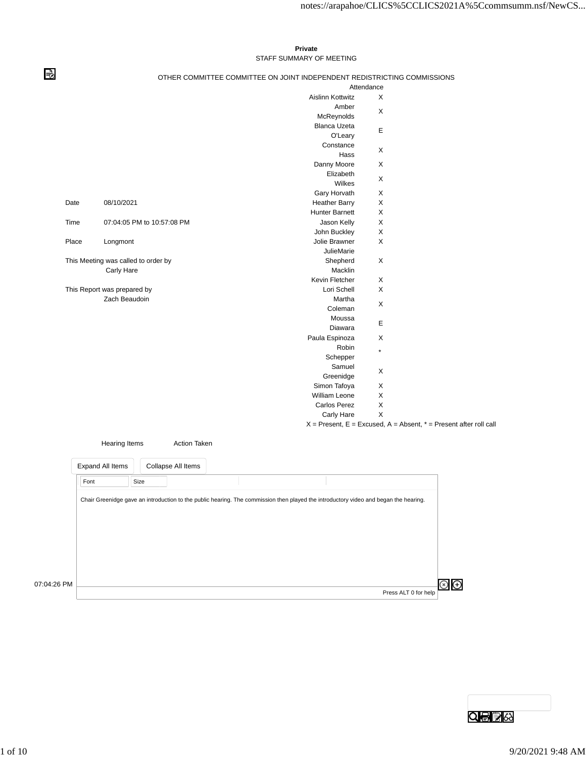## **Private** STAFF SUMMARY OF MEETING

⇛

## OTHER COMMITTEE COMMITTEE ON JOINT INDEPENDENT REDISTRICTING COMMISSIONS

| <b>Aislinn Kottwitz</b><br>Amber<br>McReynolds<br><b>Blanca Uzeta</b><br>O'Leary<br>Constance<br>Hass<br>Danny Moore<br>Elizabeth<br>Wilkes<br>Gary Horvath<br><b>Heather Barry</b><br><b>Hunter Barnett</b><br>Jason Kelly | X<br>X<br>E<br>X<br>$\times$<br>X<br>X<br>X<br>Χ                                                                                                                                                                                                                                                                                          |
|-----------------------------------------------------------------------------------------------------------------------------------------------------------------------------------------------------------------------------|-------------------------------------------------------------------------------------------------------------------------------------------------------------------------------------------------------------------------------------------------------------------------------------------------------------------------------------------|
|                                                                                                                                                                                                                             |                                                                                                                                                                                                                                                                                                                                           |
|                                                                                                                                                                                                                             |                                                                                                                                                                                                                                                                                                                                           |
|                                                                                                                                                                                                                             |                                                                                                                                                                                                                                                                                                                                           |
|                                                                                                                                                                                                                             |                                                                                                                                                                                                                                                                                                                                           |
|                                                                                                                                                                                                                             |                                                                                                                                                                                                                                                                                                                                           |
|                                                                                                                                                                                                                             |                                                                                                                                                                                                                                                                                                                                           |
|                                                                                                                                                                                                                             |                                                                                                                                                                                                                                                                                                                                           |
|                                                                                                                                                                                                                             |                                                                                                                                                                                                                                                                                                                                           |
|                                                                                                                                                                                                                             |                                                                                                                                                                                                                                                                                                                                           |
|                                                                                                                                                                                                                             |                                                                                                                                                                                                                                                                                                                                           |
|                                                                                                                                                                                                                             |                                                                                                                                                                                                                                                                                                                                           |
|                                                                                                                                                                                                                             |                                                                                                                                                                                                                                                                                                                                           |
|                                                                                                                                                                                                                             |                                                                                                                                                                                                                                                                                                                                           |
|                                                                                                                                                                                                                             | X                                                                                                                                                                                                                                                                                                                                         |
|                                                                                                                                                                                                                             | Χ                                                                                                                                                                                                                                                                                                                                         |
|                                                                                                                                                                                                                             | X                                                                                                                                                                                                                                                                                                                                         |
|                                                                                                                                                                                                                             |                                                                                                                                                                                                                                                                                                                                           |
|                                                                                                                                                                                                                             | X                                                                                                                                                                                                                                                                                                                                         |
|                                                                                                                                                                                                                             |                                                                                                                                                                                                                                                                                                                                           |
|                                                                                                                                                                                                                             | X                                                                                                                                                                                                                                                                                                                                         |
|                                                                                                                                                                                                                             | X                                                                                                                                                                                                                                                                                                                                         |
|                                                                                                                                                                                                                             | X                                                                                                                                                                                                                                                                                                                                         |
|                                                                                                                                                                                                                             |                                                                                                                                                                                                                                                                                                                                           |
|                                                                                                                                                                                                                             | E                                                                                                                                                                                                                                                                                                                                         |
|                                                                                                                                                                                                                             |                                                                                                                                                                                                                                                                                                                                           |
|                                                                                                                                                                                                                             | X                                                                                                                                                                                                                                                                                                                                         |
|                                                                                                                                                                                                                             | $\star$                                                                                                                                                                                                                                                                                                                                   |
|                                                                                                                                                                                                                             |                                                                                                                                                                                                                                                                                                                                           |
|                                                                                                                                                                                                                             | X                                                                                                                                                                                                                                                                                                                                         |
|                                                                                                                                                                                                                             |                                                                                                                                                                                                                                                                                                                                           |
|                                                                                                                                                                                                                             | X                                                                                                                                                                                                                                                                                                                                         |
|                                                                                                                                                                                                                             | X                                                                                                                                                                                                                                                                                                                                         |
|                                                                                                                                                                                                                             | X                                                                                                                                                                                                                                                                                                                                         |
|                                                                                                                                                                                                                             | X                                                                                                                                                                                                                                                                                                                                         |
|                                                                                                                                                                                                                             |                                                                                                                                                                                                                                                                                                                                           |
|                                                                                                                                                                                                                             | John Buckley<br>Jolie Brawner<br><b>JulieMarie</b><br>Shepherd<br>Macklin<br>Kevin Fletcher<br>Lori Schell<br>Martha<br>Coleman<br>Moussa<br>Diawara<br>Paula Espinoza<br>Robin<br>Schepper<br>Samuel<br>Greenidge<br>Simon Tafoya<br><b>William Leone</b><br>Carlos Perez<br>Carly Hare<br>$X =$ Present, $E =$ Excused, $A =$ Absent, ' |

|             | <b>Hearing Items</b> |                    | <b>Action Taken</b> |                                                                                                                                      |                      |  |
|-------------|----------------------|--------------------|---------------------|--------------------------------------------------------------------------------------------------------------------------------------|----------------------|--|
|             | Expand All Items     | Collapse All Items |                     |                                                                                                                                      |                      |  |
|             | Font                 | Size               |                     |                                                                                                                                      |                      |  |
|             |                      |                    |                     | Chair Greenidge gave an introduction to the public hearing. The commission then played the introductory video and began the hearing. |                      |  |
|             |                      |                    |                     |                                                                                                                                      |                      |  |
|             |                      |                    |                     |                                                                                                                                      |                      |  |
|             |                      |                    |                     |                                                                                                                                      |                      |  |
|             |                      |                    |                     |                                                                                                                                      |                      |  |
| 07:04:26 PM |                      |                    |                     |                                                                                                                                      |                      |  |
|             |                      |                    |                     |                                                                                                                                      | Press ALT 0 for help |  |



 $=$  Present after roll call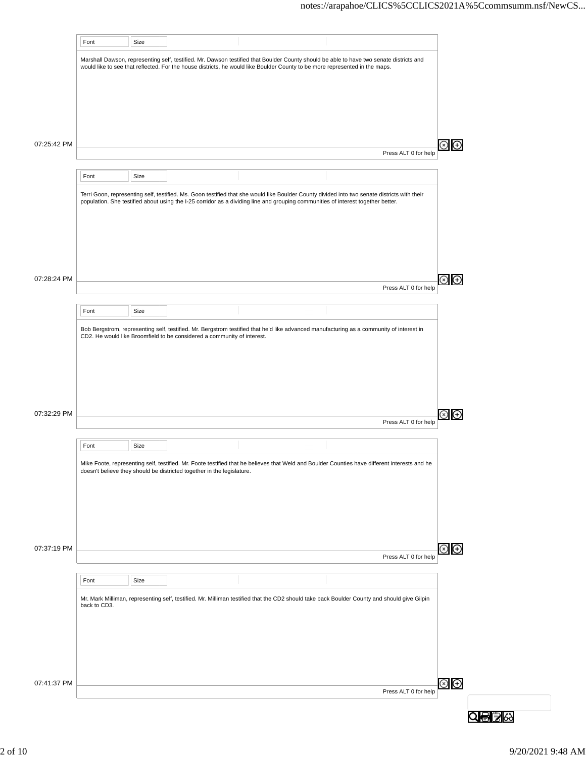|             | Font         | Size |                                                                         |                                                                                                                                                                                                                                                                                  |                      |                                      |
|-------------|--------------|------|-------------------------------------------------------------------------|----------------------------------------------------------------------------------------------------------------------------------------------------------------------------------------------------------------------------------------------------------------------------------|----------------------|--------------------------------------|
|             |              |      |                                                                         | Marshall Dawson, representing self, testified. Mr. Dawson testified that Boulder County should be able to have two senate districts and<br>would like to see that reflected. For the house districts, he would like Boulder County to be more represented in the maps.           |                      |                                      |
|             |              |      |                                                                         |                                                                                                                                                                                                                                                                                  |                      |                                      |
|             |              |      |                                                                         |                                                                                                                                                                                                                                                                                  |                      |                                      |
|             |              |      |                                                                         |                                                                                                                                                                                                                                                                                  |                      |                                      |
| 07:25:42 PM |              |      |                                                                         |                                                                                                                                                                                                                                                                                  |                      | ⊕                                    |
|             |              |      |                                                                         |                                                                                                                                                                                                                                                                                  | Press ALT 0 for help |                                      |
|             | Font         | Size |                                                                         |                                                                                                                                                                                                                                                                                  |                      |                                      |
|             |              |      |                                                                         | Terri Goon, representing self, testified. Ms. Goon testified that she would like Boulder County divided into two senate districts with their<br>population. She testified about using the I-25 corridor as a dividing line and grouping communities of interest together better. |                      |                                      |
|             |              |      |                                                                         |                                                                                                                                                                                                                                                                                  |                      |                                      |
|             |              |      |                                                                         |                                                                                                                                                                                                                                                                                  |                      |                                      |
|             |              |      |                                                                         |                                                                                                                                                                                                                                                                                  |                      |                                      |
| 07:28:24 PM |              |      |                                                                         |                                                                                                                                                                                                                                                                                  |                      |                                      |
|             |              |      |                                                                         |                                                                                                                                                                                                                                                                                  | Press ALT 0 for help |                                      |
|             | Font         | Size |                                                                         |                                                                                                                                                                                                                                                                                  |                      |                                      |
|             |              |      |                                                                         | Bob Bergstrom, representing self, testified. Mr. Bergstrom testified that he'd like advanced manufacturing as a community of interest in                                                                                                                                         |                      |                                      |
|             |              |      | CD2. He would like Broomfield to be considered a community of interest. |                                                                                                                                                                                                                                                                                  |                      |                                      |
|             |              |      |                                                                         |                                                                                                                                                                                                                                                                                  |                      |                                      |
|             |              |      |                                                                         |                                                                                                                                                                                                                                                                                  |                      |                                      |
|             |              |      |                                                                         |                                                                                                                                                                                                                                                                                  |                      |                                      |
| 07:32:29 PM |              |      |                                                                         |                                                                                                                                                                                                                                                                                  | Press ALT 0 for help | $\hspace{.1cm} \oplus \hspace{.1cm}$ |
|             |              |      |                                                                         |                                                                                                                                                                                                                                                                                  |                      |                                      |
|             | Font         | Size |                                                                         |                                                                                                                                                                                                                                                                                  |                      |                                      |
|             |              |      | doesn't believe they should be districted together in the legislature.  | Mike Foote, representing self, testified. Mr. Foote testified that he believes that Weld and Boulder Counties have different interests and he                                                                                                                                    |                      |                                      |
|             |              |      |                                                                         |                                                                                                                                                                                                                                                                                  |                      |                                      |
|             |              |      |                                                                         |                                                                                                                                                                                                                                                                                  |                      |                                      |
|             |              |      |                                                                         |                                                                                                                                                                                                                                                                                  |                      |                                      |
| 07:37:19 PM |              |      |                                                                         |                                                                                                                                                                                                                                                                                  |                      | $\circledast$                        |
|             |              |      |                                                                         |                                                                                                                                                                                                                                                                                  | Press ALT 0 for help |                                      |
|             | Font         | Size |                                                                         |                                                                                                                                                                                                                                                                                  |                      |                                      |
|             | back to CD3. |      |                                                                         | Mr. Mark Milliman, representing self, testified. Mr. Milliman testified that the CD2 should take back Boulder County and should give Gilpin                                                                                                                                      |                      |                                      |
|             |              |      |                                                                         |                                                                                                                                                                                                                                                                                  |                      |                                      |
|             |              |      |                                                                         |                                                                                                                                                                                                                                                                                  |                      |                                      |
|             |              |      |                                                                         |                                                                                                                                                                                                                                                                                  |                      |                                      |
|             |              |      |                                                                         |                                                                                                                                                                                                                                                                                  |                      |                                      |
| 07:41:37 PM |              |      |                                                                         |                                                                                                                                                                                                                                                                                  | Press ALT 0 for help | $\circledast$                        |
|             |              |      |                                                                         |                                                                                                                                                                                                                                                                                  |                      |                                      |
|             |              |      |                                                                         |                                                                                                                                                                                                                                                                                  |                      |                                      |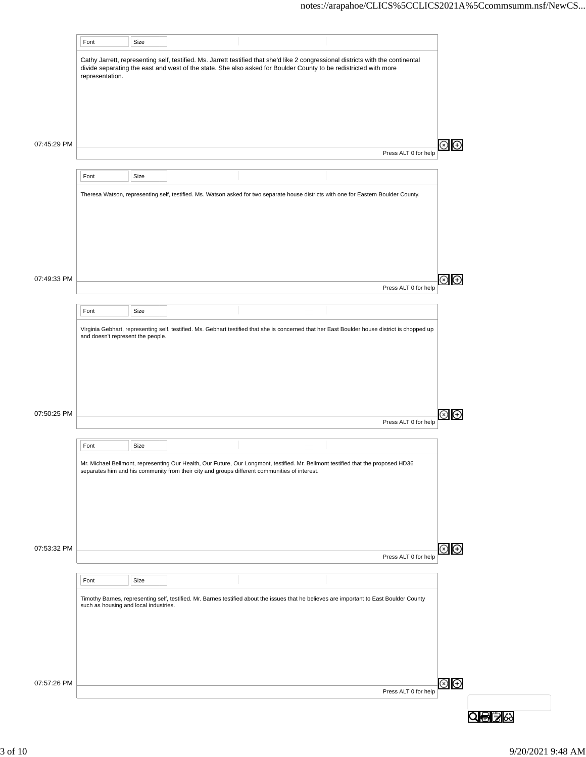|             | Font                                  | Size |                                                                                                                                                                                                                                                                                                                                                                                                                                                                                                                                                                                                                                                                                                                                                                                                                                                                                                                                                                                                                                    |  |                      |             |
|-------------|---------------------------------------|------|------------------------------------------------------------------------------------------------------------------------------------------------------------------------------------------------------------------------------------------------------------------------------------------------------------------------------------------------------------------------------------------------------------------------------------------------------------------------------------------------------------------------------------------------------------------------------------------------------------------------------------------------------------------------------------------------------------------------------------------------------------------------------------------------------------------------------------------------------------------------------------------------------------------------------------------------------------------------------------------------------------------------------------|--|----------------------|-------------|
|             | representation.                       |      |                                                                                                                                                                                                                                                                                                                                                                                                                                                                                                                                                                                                                                                                                                                                                                                                                                                                                                                                                                                                                                    |  |                      |             |
|             |                                       |      |                                                                                                                                                                                                                                                                                                                                                                                                                                                                                                                                                                                                                                                                                                                                                                                                                                                                                                                                                                                                                                    |  |                      |             |
|             |                                       |      |                                                                                                                                                                                                                                                                                                                                                                                                                                                                                                                                                                                                                                                                                                                                                                                                                                                                                                                                                                                                                                    |  |                      |             |
|             |                                       |      |                                                                                                                                                                                                                                                                                                                                                                                                                                                                                                                                                                                                                                                                                                                                                                                                                                                                                                                                                                                                                                    |  |                      |             |
| 07:45:29 PM |                                       |      |                                                                                                                                                                                                                                                                                                                                                                                                                                                                                                                                                                                                                                                                                                                                                                                                                                                                                                                                                                                                                                    |  | Press ALT 0 for help | $\bigoplus$ |
|             | Font                                  | Size |                                                                                                                                                                                                                                                                                                                                                                                                                                                                                                                                                                                                                                                                                                                                                                                                                                                                                                                                                                                                                                    |  |                      |             |
|             |                                       |      |                                                                                                                                                                                                                                                                                                                                                                                                                                                                                                                                                                                                                                                                                                                                                                                                                                                                                                                                                                                                                                    |  |                      |             |
|             |                                       |      |                                                                                                                                                                                                                                                                                                                                                                                                                                                                                                                                                                                                                                                                                                                                                                                                                                                                                                                                                                                                                                    |  |                      |             |
|             |                                       |      |                                                                                                                                                                                                                                                                                                                                                                                                                                                                                                                                                                                                                                                                                                                                                                                                                                                                                                                                                                                                                                    |  |                      |             |
|             |                                       |      |                                                                                                                                                                                                                                                                                                                                                                                                                                                                                                                                                                                                                                                                                                                                                                                                                                                                                                                                                                                                                                    |  |                      |             |
|             |                                       |      |                                                                                                                                                                                                                                                                                                                                                                                                                                                                                                                                                                                                                                                                                                                                                                                                                                                                                                                                                                                                                                    |  |                      |             |
| 07:49:33 PM |                                       |      |                                                                                                                                                                                                                                                                                                                                                                                                                                                                                                                                                                                                                                                                                                                                                                                                                                                                                                                                                                                                                                    |  |                      | ⊕           |
|             |                                       |      |                                                                                                                                                                                                                                                                                                                                                                                                                                                                                                                                                                                                                                                                                                                                                                                                                                                                                                                                                                                                                                    |  |                      |             |
|             | Font                                  | Size |                                                                                                                                                                                                                                                                                                                                                                                                                                                                                                                                                                                                                                                                                                                                                                                                                                                                                                                                                                                                                                    |  |                      |             |
|             | and doesn't represent the people.     |      | Cathy Jarrett, representing self, testified. Ms. Jarrett testified that she'd like 2 congressional districts with the continental<br>divide separating the east and west of the state. She also asked for Boulder County to be redistricted with more<br>Theresa Watson, representing self, testified. Ms. Watson asked for two separate house districts with one for Eastern Boulder County.<br>Press ALT 0 for help<br>Virginia Gebhart, representing self, testified. Ms. Gebhart testified that she is concerned that her East Boulder house district is chopped up<br>Press ALT 0 for help<br>Mr. Michael Bellmont, representing Our Health, Our Future, Our Longmont, testified. Mr. Bellmont testified that the proposed HD36<br>separates him and his community from their city and groups different communities of interest.<br>Press ALT 0 for help<br>Timothy Barnes, representing self, testified. Mr. Barnes testified about the issues that he believes are important to East Boulder County<br>Press ALT 0 for help |  |                      |             |
|             |                                       |      |                                                                                                                                                                                                                                                                                                                                                                                                                                                                                                                                                                                                                                                                                                                                                                                                                                                                                                                                                                                                                                    |  |                      |             |
|             |                                       |      |                                                                                                                                                                                                                                                                                                                                                                                                                                                                                                                                                                                                                                                                                                                                                                                                                                                                                                                                                                                                                                    |  |                      |             |
|             |                                       |      |                                                                                                                                                                                                                                                                                                                                                                                                                                                                                                                                                                                                                                                                                                                                                                                                                                                                                                                                                                                                                                    |  |                      |             |
| 07:50:25 PM |                                       |      |                                                                                                                                                                                                                                                                                                                                                                                                                                                                                                                                                                                                                                                                                                                                                                                                                                                                                                                                                                                                                                    |  |                      | ⊕           |
|             |                                       |      |                                                                                                                                                                                                                                                                                                                                                                                                                                                                                                                                                                                                                                                                                                                                                                                                                                                                                                                                                                                                                                    |  |                      |             |
|             | Font                                  | Size |                                                                                                                                                                                                                                                                                                                                                                                                                                                                                                                                                                                                                                                                                                                                                                                                                                                                                                                                                                                                                                    |  |                      |             |
|             |                                       |      |                                                                                                                                                                                                                                                                                                                                                                                                                                                                                                                                                                                                                                                                                                                                                                                                                                                                                                                                                                                                                                    |  |                      |             |
|             |                                       |      |                                                                                                                                                                                                                                                                                                                                                                                                                                                                                                                                                                                                                                                                                                                                                                                                                                                                                                                                                                                                                                    |  |                      |             |
|             |                                       |      |                                                                                                                                                                                                                                                                                                                                                                                                                                                                                                                                                                                                                                                                                                                                                                                                                                                                                                                                                                                                                                    |  |                      |             |
|             |                                       |      |                                                                                                                                                                                                                                                                                                                                                                                                                                                                                                                                                                                                                                                                                                                                                                                                                                                                                                                                                                                                                                    |  |                      |             |
|             |                                       |      |                                                                                                                                                                                                                                                                                                                                                                                                                                                                                                                                                                                                                                                                                                                                                                                                                                                                                                                                                                                                                                    |  |                      |             |
| 07:53:32 PM |                                       |      |                                                                                                                                                                                                                                                                                                                                                                                                                                                                                                                                                                                                                                                                                                                                                                                                                                                                                                                                                                                                                                    |  |                      | ව<br>ල      |
|             | Font                                  | Size |                                                                                                                                                                                                                                                                                                                                                                                                                                                                                                                                                                                                                                                                                                                                                                                                                                                                                                                                                                                                                                    |  |                      |             |
|             |                                       |      |                                                                                                                                                                                                                                                                                                                                                                                                                                                                                                                                                                                                                                                                                                                                                                                                                                                                                                                                                                                                                                    |  |                      |             |
|             | such as housing and local industries. |      |                                                                                                                                                                                                                                                                                                                                                                                                                                                                                                                                                                                                                                                                                                                                                                                                                                                                                                                                                                                                                                    |  |                      |             |
|             |                                       |      |                                                                                                                                                                                                                                                                                                                                                                                                                                                                                                                                                                                                                                                                                                                                                                                                                                                                                                                                                                                                                                    |  |                      |             |
|             |                                       |      |                                                                                                                                                                                                                                                                                                                                                                                                                                                                                                                                                                                                                                                                                                                                                                                                                                                                                                                                                                                                                                    |  |                      |             |
|             |                                       |      |                                                                                                                                                                                                                                                                                                                                                                                                                                                                                                                                                                                                                                                                                                                                                                                                                                                                                                                                                                                                                                    |  |                      |             |
| 07:57:26 PM |                                       |      |                                                                                                                                                                                                                                                                                                                                                                                                                                                                                                                                                                                                                                                                                                                                                                                                                                                                                                                                                                                                                                    |  |                      | E)<br>O     |
|             |                                       |      |                                                                                                                                                                                                                                                                                                                                                                                                                                                                                                                                                                                                                                                                                                                                                                                                                                                                                                                                                                                                                                    |  |                      |             |
|             |                                       |      |                                                                                                                                                                                                                                                                                                                                                                                                                                                                                                                                                                                                                                                                                                                                                                                                                                                                                                                                                                                                                                    |  |                      |             |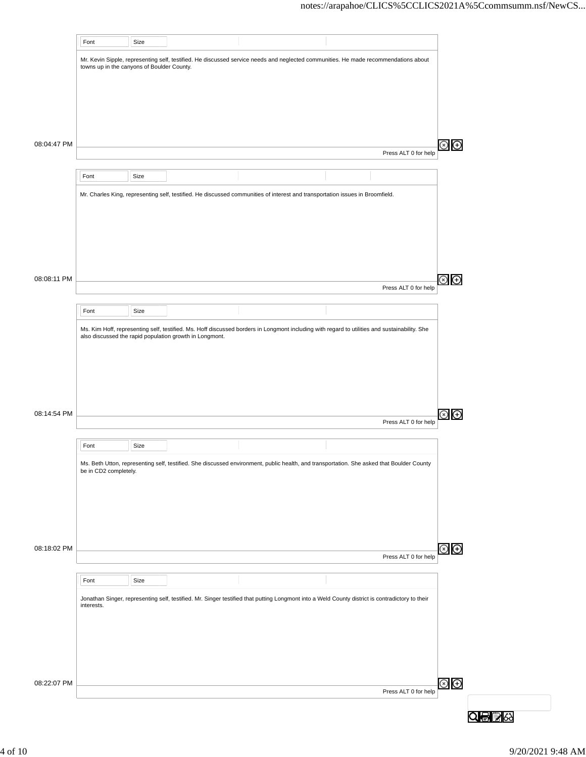|             | Font                                                                                                                                                                                                                                                                                                                                                                                                                                                                                                                                                                                                                                                                                                                                                                                                                                                                                                                                                          | Size |  |  |                      |                |
|-------------|---------------------------------------------------------------------------------------------------------------------------------------------------------------------------------------------------------------------------------------------------------------------------------------------------------------------------------------------------------------------------------------------------------------------------------------------------------------------------------------------------------------------------------------------------------------------------------------------------------------------------------------------------------------------------------------------------------------------------------------------------------------------------------------------------------------------------------------------------------------------------------------------------------------------------------------------------------------|------|--|--|----------------------|----------------|
|             | Mr. Kevin Sipple, representing self, testified. He discussed service needs and neglected communities. He made recommendations about<br>towns up in the canyons of Boulder County.<br>Press ALT 0 for help<br>Font<br>Size<br>Mr. Charles King, representing self, testified. He discussed communities of interest and transportation issues in Broomfield.<br>Font<br>Size<br>Ms. Kim Hoff, representing self, testified. Ms. Hoff discussed borders in Longmont including with regard to utilities and sustainability. She<br>also discussed the rapid population growth in Longmont.<br>Font<br>Size<br>Ms. Beth Utton, representing self, testified. She discussed environment, public health, and transportation. She asked that Boulder County<br>be in CD2 completely.<br>Font<br>Size<br>Jonathan Singer, representing self, testified. Mr. Singer testified that putting Longmont into a Weld County district is contradictory to their<br>interests. |      |  |  |                      |                |
|             |                                                                                                                                                                                                                                                                                                                                                                                                                                                                                                                                                                                                                                                                                                                                                                                                                                                                                                                                                               |      |  |  |                      |                |
|             |                                                                                                                                                                                                                                                                                                                                                                                                                                                                                                                                                                                                                                                                                                                                                                                                                                                                                                                                                               |      |  |  |                      |                |
|             |                                                                                                                                                                                                                                                                                                                                                                                                                                                                                                                                                                                                                                                                                                                                                                                                                                                                                                                                                               |      |  |  |                      |                |
| 08:04:47 PM |                                                                                                                                                                                                                                                                                                                                                                                                                                                                                                                                                                                                                                                                                                                                                                                                                                                                                                                                                               |      |  |  |                      | $\circledast$  |
|             |                                                                                                                                                                                                                                                                                                                                                                                                                                                                                                                                                                                                                                                                                                                                                                                                                                                                                                                                                               |      |  |  |                      |                |
|             |                                                                                                                                                                                                                                                                                                                                                                                                                                                                                                                                                                                                                                                                                                                                                                                                                                                                                                                                                               |      |  |  |                      |                |
|             |                                                                                                                                                                                                                                                                                                                                                                                                                                                                                                                                                                                                                                                                                                                                                                                                                                                                                                                                                               |      |  |  |                      |                |
|             |                                                                                                                                                                                                                                                                                                                                                                                                                                                                                                                                                                                                                                                                                                                                                                                                                                                                                                                                                               |      |  |  |                      |                |
|             |                                                                                                                                                                                                                                                                                                                                                                                                                                                                                                                                                                                                                                                                                                                                                                                                                                                                                                                                                               |      |  |  |                      |                |
|             |                                                                                                                                                                                                                                                                                                                                                                                                                                                                                                                                                                                                                                                                                                                                                                                                                                                                                                                                                               |      |  |  |                      |                |
| 08:08:11 PM |                                                                                                                                                                                                                                                                                                                                                                                                                                                                                                                                                                                                                                                                                                                                                                                                                                                                                                                                                               |      |  |  | Press ALT 0 for help | $\circledcirc$ |
|             |                                                                                                                                                                                                                                                                                                                                                                                                                                                                                                                                                                                                                                                                                                                                                                                                                                                                                                                                                               |      |  |  |                      |                |
|             |                                                                                                                                                                                                                                                                                                                                                                                                                                                                                                                                                                                                                                                                                                                                                                                                                                                                                                                                                               |      |  |  |                      |                |
|             |                                                                                                                                                                                                                                                                                                                                                                                                                                                                                                                                                                                                                                                                                                                                                                                                                                                                                                                                                               |      |  |  |                      |                |
|             |                                                                                                                                                                                                                                                                                                                                                                                                                                                                                                                                                                                                                                                                                                                                                                                                                                                                                                                                                               |      |  |  |                      |                |
|             |                                                                                                                                                                                                                                                                                                                                                                                                                                                                                                                                                                                                                                                                                                                                                                                                                                                                                                                                                               |      |  |  |                      |                |
|             |                                                                                                                                                                                                                                                                                                                                                                                                                                                                                                                                                                                                                                                                                                                                                                                                                                                                                                                                                               |      |  |  |                      |                |
| 08:14:54 PM |                                                                                                                                                                                                                                                                                                                                                                                                                                                                                                                                                                                                                                                                                                                                                                                                                                                                                                                                                               |      |  |  | Press ALT 0 for help | ⊗ ල            |
|             |                                                                                                                                                                                                                                                                                                                                                                                                                                                                                                                                                                                                                                                                                                                                                                                                                                                                                                                                                               |      |  |  |                      |                |
|             |                                                                                                                                                                                                                                                                                                                                                                                                                                                                                                                                                                                                                                                                                                                                                                                                                                                                                                                                                               |      |  |  |                      |                |
|             |                                                                                                                                                                                                                                                                                                                                                                                                                                                                                                                                                                                                                                                                                                                                                                                                                                                                                                                                                               |      |  |  |                      | $\circledast$  |
|             |                                                                                                                                                                                                                                                                                                                                                                                                                                                                                                                                                                                                                                                                                                                                                                                                                                                                                                                                                               |      |  |  |                      |                |
|             |                                                                                                                                                                                                                                                                                                                                                                                                                                                                                                                                                                                                                                                                                                                                                                                                                                                                                                                                                               |      |  |  |                      |                |
| 08:18:02 PM |                                                                                                                                                                                                                                                                                                                                                                                                                                                                                                                                                                                                                                                                                                                                                                                                                                                                                                                                                               |      |  |  |                      |                |
|             |                                                                                                                                                                                                                                                                                                                                                                                                                                                                                                                                                                                                                                                                                                                                                                                                                                                                                                                                                               |      |  |  | Press ALT 0 for help |                |
|             |                                                                                                                                                                                                                                                                                                                                                                                                                                                                                                                                                                                                                                                                                                                                                                                                                                                                                                                                                               |      |  |  |                      |                |
|             |                                                                                                                                                                                                                                                                                                                                                                                                                                                                                                                                                                                                                                                                                                                                                                                                                                                                                                                                                               |      |  |  |                      |                |
|             |                                                                                                                                                                                                                                                                                                                                                                                                                                                                                                                                                                                                                                                                                                                                                                                                                                                                                                                                                               |      |  |  |                      |                |
|             |                                                                                                                                                                                                                                                                                                                                                                                                                                                                                                                                                                                                                                                                                                                                                                                                                                                                                                                                                               |      |  |  |                      |                |
|             |                                                                                                                                                                                                                                                                                                                                                                                                                                                                                                                                                                                                                                                                                                                                                                                                                                                                                                                                                               |      |  |  |                      |                |
| 08:22:07 PM |                                                                                                                                                                                                                                                                                                                                                                                                                                                                                                                                                                                                                                                                                                                                                                                                                                                                                                                                                               |      |  |  |                      | $\circledcirc$ |
|             |                                                                                                                                                                                                                                                                                                                                                                                                                                                                                                                                                                                                                                                                                                                                                                                                                                                                                                                                                               |      |  |  | Press ALT 0 for help |                |
|             |                                                                                                                                                                                                                                                                                                                                                                                                                                                                                                                                                                                                                                                                                                                                                                                                                                                                                                                                                               |      |  |  |                      |                |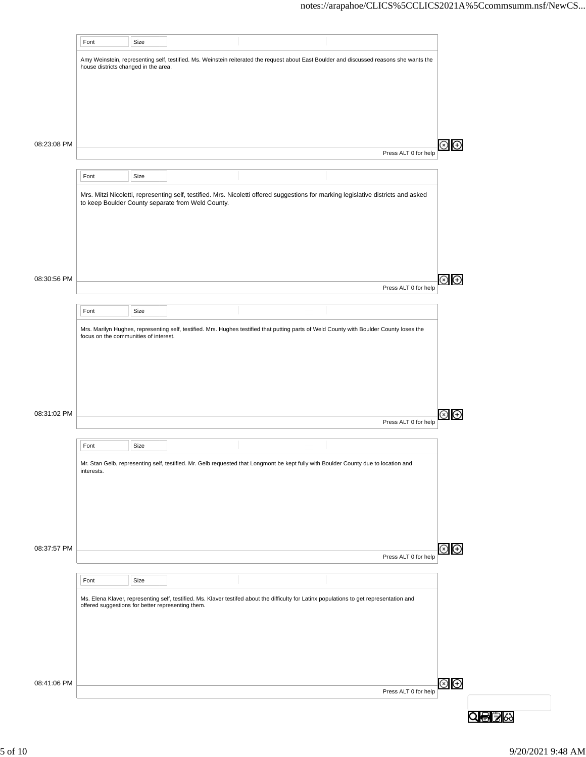|             | Font                                                                                                                                                                                                                                                                                                                                                           | Size                                                                                                                                                                                                                                                                                                                                                                                                                                                                                                                                                                                                          |  |  |  |                      |                     |  |  |
|-------------|----------------------------------------------------------------------------------------------------------------------------------------------------------------------------------------------------------------------------------------------------------------------------------------------------------------------------------------------------------------|---------------------------------------------------------------------------------------------------------------------------------------------------------------------------------------------------------------------------------------------------------------------------------------------------------------------------------------------------------------------------------------------------------------------------------------------------------------------------------------------------------------------------------------------------------------------------------------------------------------|--|--|--|----------------------|---------------------|--|--|
|             |                                                                                                                                                                                                                                                                                                                                                                |                                                                                                                                                                                                                                                                                                                                                                                                                                                                                                                                                                                                               |  |  |  |                      |                     |  |  |
|             |                                                                                                                                                                                                                                                                                                                                                                | Amy Weinstein, representing self, testified. Ms. Weinstein reiterated the request about East Boulder and discussed reasons she wants the<br>house districts changed in the area.<br>Size<br>Mrs. Mitzi Nicoletti, representing self, testified. Mrs. Nicoletti offered suggestions for marking legislative districts and asked<br>to keep Boulder County separate from Weld County.<br>Size<br>Size<br>Size<br>Ms. Elena Klaver, representing self, testified. Ms. Klaver testifed about the difficulty for Latinx populations to get representation and<br>offered suggestions for better representing them. |  |  |  |                      |                     |  |  |
|             |                                                                                                                                                                                                                                                                                                                                                                |                                                                                                                                                                                                                                                                                                                                                                                                                                                                                                                                                                                                               |  |  |  |                      |                     |  |  |
|             |                                                                                                                                                                                                                                                                                                                                                                |                                                                                                                                                                                                                                                                                                                                                                                                                                                                                                                                                                                                               |  |  |  |                      |                     |  |  |
|             |                                                                                                                                                                                                                                                                                                                                                                |                                                                                                                                                                                                                                                                                                                                                                                                                                                                                                                                                                                                               |  |  |  |                      |                     |  |  |
|             |                                                                                                                                                                                                                                                                                                                                                                |                                                                                                                                                                                                                                                                                                                                                                                                                                                                                                                                                                                                               |  |  |  |                      |                     |  |  |
| 08:23:08 PM |                                                                                                                                                                                                                                                                                                                                                                |                                                                                                                                                                                                                                                                                                                                                                                                                                                                                                                                                                                                               |  |  |  | Press ALT 0 for help | Θ<br>(x)            |  |  |
|             |                                                                                                                                                                                                                                                                                                                                                                |                                                                                                                                                                                                                                                                                                                                                                                                                                                                                                                                                                                                               |  |  |  |                      |                     |  |  |
|             | Font                                                                                                                                                                                                                                                                                                                                                           |                                                                                                                                                                                                                                                                                                                                                                                                                                                                                                                                                                                                               |  |  |  |                      |                     |  |  |
|             |                                                                                                                                                                                                                                                                                                                                                                |                                                                                                                                                                                                                                                                                                                                                                                                                                                                                                                                                                                                               |  |  |  |                      |                     |  |  |
|             |                                                                                                                                                                                                                                                                                                                                                                |                                                                                                                                                                                                                                                                                                                                                                                                                                                                                                                                                                                                               |  |  |  |                      |                     |  |  |
|             |                                                                                                                                                                                                                                                                                                                                                                |                                                                                                                                                                                                                                                                                                                                                                                                                                                                                                                                                                                                               |  |  |  |                      |                     |  |  |
|             |                                                                                                                                                                                                                                                                                                                                                                |                                                                                                                                                                                                                                                                                                                                                                                                                                                                                                                                                                                                               |  |  |  |                      |                     |  |  |
|             |                                                                                                                                                                                                                                                                                                                                                                |                                                                                                                                                                                                                                                                                                                                                                                                                                                                                                                                                                                                               |  |  |  |                      |                     |  |  |
|             |                                                                                                                                                                                                                                                                                                                                                                |                                                                                                                                                                                                                                                                                                                                                                                                                                                                                                                                                                                                               |  |  |  |                      |                     |  |  |
| 08:30:56 PM |                                                                                                                                                                                                                                                                                                                                                                |                                                                                                                                                                                                                                                                                                                                                                                                                                                                                                                                                                                                               |  |  |  | Press ALT 0 for help | $(\times)$          |  |  |
|             |                                                                                                                                                                                                                                                                                                                                                                |                                                                                                                                                                                                                                                                                                                                                                                                                                                                                                                                                                                                               |  |  |  |                      |                     |  |  |
|             | Font                                                                                                                                                                                                                                                                                                                                                           |                                                                                                                                                                                                                                                                                                                                                                                                                                                                                                                                                                                                               |  |  |  |                      |                     |  |  |
|             |                                                                                                                                                                                                                                                                                                                                                                |                                                                                                                                                                                                                                                                                                                                                                                                                                                                                                                                                                                                               |  |  |  |                      |                     |  |  |
|             |                                                                                                                                                                                                                                                                                                                                                                |                                                                                                                                                                                                                                                                                                                                                                                                                                                                                                                                                                                                               |  |  |  |                      |                     |  |  |
|             |                                                                                                                                                                                                                                                                                                                                                                |                                                                                                                                                                                                                                                                                                                                                                                                                                                                                                                                                                                                               |  |  |  |                      |                     |  |  |
|             |                                                                                                                                                                                                                                                                                                                                                                |                                                                                                                                                                                                                                                                                                                                                                                                                                                                                                                                                                                                               |  |  |  |                      |                     |  |  |
|             |                                                                                                                                                                                                                                                                                                                                                                |                                                                                                                                                                                                                                                                                                                                                                                                                                                                                                                                                                                                               |  |  |  |                      |                     |  |  |
|             |                                                                                                                                                                                                                                                                                                                                                                |                                                                                                                                                                                                                                                                                                                                                                                                                                                                                                                                                                                                               |  |  |  |                      |                     |  |  |
| 08:31:02 PM |                                                                                                                                                                                                                                                                                                                                                                |                                                                                                                                                                                                                                                                                                                                                                                                                                                                                                                                                                                                               |  |  |  |                      | $\bigoplus$         |  |  |
|             |                                                                                                                                                                                                                                                                                                                                                                |                                                                                                                                                                                                                                                                                                                                                                                                                                                                                                                                                                                                               |  |  |  |                      |                     |  |  |
|             | Font                                                                                                                                                                                                                                                                                                                                                           |                                                                                                                                                                                                                                                                                                                                                                                                                                                                                                                                                                                                               |  |  |  |                      |                     |  |  |
|             | Mrs. Marilyn Hughes, representing self, testified. Mrs. Hughes testified that putting parts of Weld County with Boulder County loses the<br>focus on the communities of interest.<br>Press ALT 0 for help<br>Mr. Stan Gelb, representing self, testified. Mr. Gelb requested that Longmont be kept fully with Boulder County due to location and<br>interests. |                                                                                                                                                                                                                                                                                                                                                                                                                                                                                                                                                                                                               |  |  |  |                      |                     |  |  |
|             |                                                                                                                                                                                                                                                                                                                                                                |                                                                                                                                                                                                                                                                                                                                                                                                                                                                                                                                                                                                               |  |  |  |                      | Θ<br>$\circledcirc$ |  |  |
|             |                                                                                                                                                                                                                                                                                                                                                                |                                                                                                                                                                                                                                                                                                                                                                                                                                                                                                                                                                                                               |  |  |  |                      |                     |  |  |
|             |                                                                                                                                                                                                                                                                                                                                                                |                                                                                                                                                                                                                                                                                                                                                                                                                                                                                                                                                                                                               |  |  |  |                      |                     |  |  |
|             |                                                                                                                                                                                                                                                                                                                                                                |                                                                                                                                                                                                                                                                                                                                                                                                                                                                                                                                                                                                               |  |  |  |                      |                     |  |  |
|             |                                                                                                                                                                                                                                                                                                                                                                |                                                                                                                                                                                                                                                                                                                                                                                                                                                                                                                                                                                                               |  |  |  |                      |                     |  |  |
| 08:37:57 PM |                                                                                                                                                                                                                                                                                                                                                                |                                                                                                                                                                                                                                                                                                                                                                                                                                                                                                                                                                                                               |  |  |  |                      |                     |  |  |
|             |                                                                                                                                                                                                                                                                                                                                                                |                                                                                                                                                                                                                                                                                                                                                                                                                                                                                                                                                                                                               |  |  |  | Press ALT 0 for help |                     |  |  |
|             | Font                                                                                                                                                                                                                                                                                                                                                           |                                                                                                                                                                                                                                                                                                                                                                                                                                                                                                                                                                                                               |  |  |  |                      |                     |  |  |
|             |                                                                                                                                                                                                                                                                                                                                                                |                                                                                                                                                                                                                                                                                                                                                                                                                                                                                                                                                                                                               |  |  |  |                      |                     |  |  |
|             |                                                                                                                                                                                                                                                                                                                                                                |                                                                                                                                                                                                                                                                                                                                                                                                                                                                                                                                                                                                               |  |  |  |                      |                     |  |  |
|             |                                                                                                                                                                                                                                                                                                                                                                |                                                                                                                                                                                                                                                                                                                                                                                                                                                                                                                                                                                                               |  |  |  |                      |                     |  |  |
|             |                                                                                                                                                                                                                                                                                                                                                                |                                                                                                                                                                                                                                                                                                                                                                                                                                                                                                                                                                                                               |  |  |  |                      |                     |  |  |
|             |                                                                                                                                                                                                                                                                                                                                                                |                                                                                                                                                                                                                                                                                                                                                                                                                                                                                                                                                                                                               |  |  |  |                      |                     |  |  |
|             |                                                                                                                                                                                                                                                                                                                                                                |                                                                                                                                                                                                                                                                                                                                                                                                                                                                                                                                                                                                               |  |  |  |                      |                     |  |  |
| 08:41:06 PM |                                                                                                                                                                                                                                                                                                                                                                |                                                                                                                                                                                                                                                                                                                                                                                                                                                                                                                                                                                                               |  |  |  |                      | $\circledast$       |  |  |
|             |                                                                                                                                                                                                                                                                                                                                                                |                                                                                                                                                                                                                                                                                                                                                                                                                                                                                                                                                                                                               |  |  |  | Press ALT 0 for help |                     |  |  |
|             |                                                                                                                                                                                                                                                                                                                                                                |                                                                                                                                                                                                                                                                                                                                                                                                                                                                                                                                                                                                               |  |  |  |                      |                     |  |  |
|             |                                                                                                                                                                                                                                                                                                                                                                |                                                                                                                                                                                                                                                                                                                                                                                                                                                                                                                                                                                                               |  |  |  |                      |                     |  |  |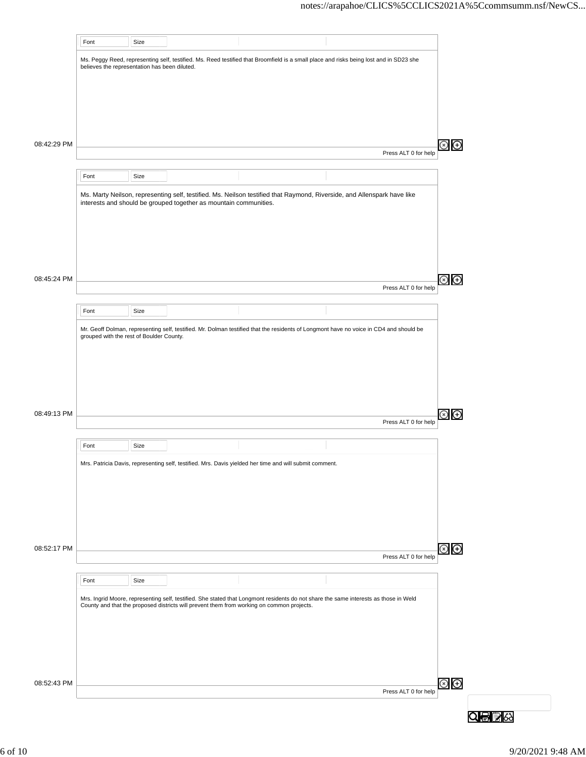|             | Font                                          | Size |                                                                   |                                                                                                                                                                                                                                   |                      |                               |
|-------------|-----------------------------------------------|------|-------------------------------------------------------------------|-----------------------------------------------------------------------------------------------------------------------------------------------------------------------------------------------------------------------------------|----------------------|-------------------------------|
|             | believes the representation has been diluted. |      |                                                                   | Ms. Peggy Reed, representing self, testified. Ms. Reed testified that Broomfield is a small place and risks being lost and in SD23 she                                                                                            |                      |                               |
|             |                                               |      |                                                                   |                                                                                                                                                                                                                                   |                      |                               |
|             |                                               |      |                                                                   |                                                                                                                                                                                                                                   |                      |                               |
| 08:42:29 PM |                                               |      |                                                                   |                                                                                                                                                                                                                                   |                      | $\circledcirc$ $\oplus$       |
|             |                                               |      |                                                                   |                                                                                                                                                                                                                                   | Press ALT 0 for help |                               |
|             | Font                                          | Size |                                                                   |                                                                                                                                                                                                                                   |                      |                               |
|             |                                               |      | interests and should be grouped together as mountain communities. | Ms. Marty Neilson, representing self, testified. Ms. Neilson testified that Raymond, Riverside, and Allenspark have like                                                                                                          |                      |                               |
|             |                                               |      |                                                                   |                                                                                                                                                                                                                                   |                      |                               |
|             |                                               |      |                                                                   |                                                                                                                                                                                                                                   |                      |                               |
| 08:45:24 PM |                                               |      |                                                                   |                                                                                                                                                                                                                                   |                      | $\circledast$                 |
|             |                                               |      |                                                                   |                                                                                                                                                                                                                                   | Press ALT 0 for help |                               |
|             | Font                                          | Size |                                                                   |                                                                                                                                                                                                                                   |                      |                               |
|             | grouped with the rest of Boulder County.      |      |                                                                   | Mr. Geoff Dolman, representing self, testified. Mr. Dolman testified that the residents of Longmont have no voice in CD4 and should be                                                                                            |                      |                               |
|             |                                               |      |                                                                   |                                                                                                                                                                                                                                   |                      |                               |
|             |                                               |      |                                                                   |                                                                                                                                                                                                                                   |                      |                               |
| 08:49:13 PM |                                               |      |                                                                   |                                                                                                                                                                                                                                   |                      | Θ                             |
|             |                                               |      |                                                                   |                                                                                                                                                                                                                                   | Press ALT 0 for help |                               |
|             | Font                                          | Size |                                                                   |                                                                                                                                                                                                                                   |                      |                               |
|             |                                               |      |                                                                   | Mrs. Patricia Davis, representing self, testified. Mrs. Davis yielded her time and will submit comment.                                                                                                                           |                      |                               |
|             |                                               |      |                                                                   |                                                                                                                                                                                                                                   |                      |                               |
|             |                                               |      |                                                                   |                                                                                                                                                                                                                                   |                      |                               |
| 08:52:17 PM |                                               |      |                                                                   |                                                                                                                                                                                                                                   |                      | $\circledcirc$ $\circledcirc$ |
|             |                                               |      |                                                                   |                                                                                                                                                                                                                                   | Press ALT 0 for help |                               |
|             | Font                                          | Size |                                                                   |                                                                                                                                                                                                                                   |                      |                               |
|             |                                               |      |                                                                   | Mrs. Ingrid Moore, representing self, testified. She stated that Longmont residents do not share the same interests as those in Weld<br>County and that the proposed districts will prevent them from working on common projects. |                      |                               |
|             |                                               |      |                                                                   |                                                                                                                                                                                                                                   |                      |                               |
|             |                                               |      |                                                                   |                                                                                                                                                                                                                                   |                      |                               |
| 08:52:43 PM |                                               |      |                                                                   |                                                                                                                                                                                                                                   |                      | $\odot$ $\odot$               |
|             |                                               |      |                                                                   |                                                                                                                                                                                                                                   | Press ALT 0 for help |                               |
|             |                                               |      |                                                                   |                                                                                                                                                                                                                                   |                      |                               |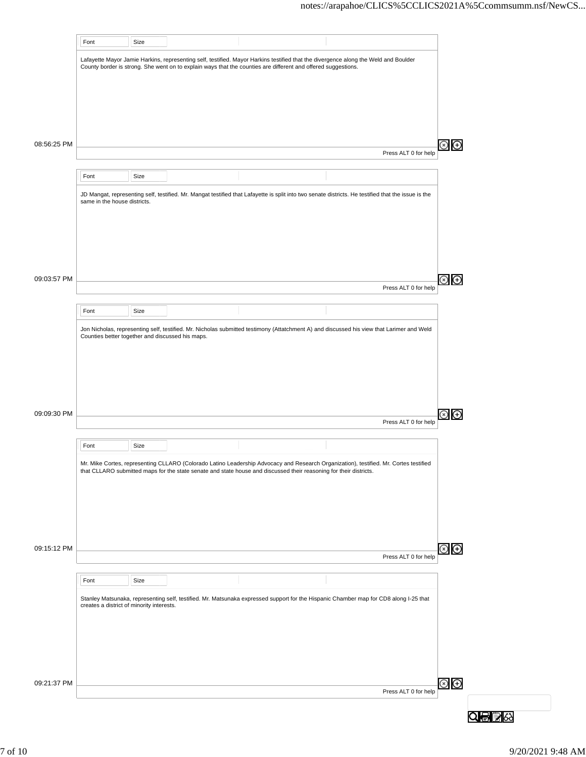|             | Font                                             | Size |                                                                                                                                                                                                                                                             |                      |                                                            |  |
|-------------|--------------------------------------------------|------|-------------------------------------------------------------------------------------------------------------------------------------------------------------------------------------------------------------------------------------------------------------|----------------------|------------------------------------------------------------|--|
|             |                                                  |      | Lafayette Mayor Jamie Harkins, representing self, testified. Mayor Harkins testified that the divergence along the Weld and Boulder                                                                                                                         |                      |                                                            |  |
|             |                                                  |      | County border is strong. She went on to explain ways that the counties are different and offered suggestions.                                                                                                                                               |                      |                                                            |  |
|             |                                                  |      |                                                                                                                                                                                                                                                             |                      |                                                            |  |
|             |                                                  |      |                                                                                                                                                                                                                                                             |                      |                                                            |  |
|             |                                                  |      |                                                                                                                                                                                                                                                             |                      |                                                            |  |
| 08:56:25 PM |                                                  |      |                                                                                                                                                                                                                                                             |                      | $\left( \begin{smallmatrix} + \ \end{smallmatrix} \right)$ |  |
|             |                                                  |      |                                                                                                                                                                                                                                                             | Press ALT 0 for help |                                                            |  |
|             | Font                                             | Size |                                                                                                                                                                                                                                                             |                      |                                                            |  |
|             |                                                  |      | JD Mangat, representing self, testified. Mr. Mangat testified that Lafayette is split into two senate districts. He testified that the issue is the                                                                                                         |                      |                                                            |  |
|             | same in the house districts.                     |      |                                                                                                                                                                                                                                                             |                      |                                                            |  |
|             |                                                  |      |                                                                                                                                                                                                                                                             |                      |                                                            |  |
|             |                                                  |      |                                                                                                                                                                                                                                                             |                      |                                                            |  |
|             |                                                  |      |                                                                                                                                                                                                                                                             |                      |                                                            |  |
|             |                                                  |      |                                                                                                                                                                                                                                                             |                      |                                                            |  |
| 09:03:57 PM |                                                  |      |                                                                                                                                                                                                                                                             | Press ALT 0 for help | Ð                                                          |  |
|             | Font                                             | Size |                                                                                                                                                                                                                                                             |                      |                                                            |  |
|             |                                                  |      |                                                                                                                                                                                                                                                             |                      |                                                            |  |
|             | Counties better together and discussed his maps. |      | Jon Nicholas, representing self, testified. Mr. Nicholas submitted testimony (Attatchment A) and discussed his view that Larimer and Weld                                                                                                                   |                      |                                                            |  |
|             |                                                  |      |                                                                                                                                                                                                                                                             |                      |                                                            |  |
|             |                                                  |      |                                                                                                                                                                                                                                                             |                      |                                                            |  |
|             |                                                  |      |                                                                                                                                                                                                                                                             |                      |                                                            |  |
|             |                                                  |      |                                                                                                                                                                                                                                                             |                      |                                                            |  |
| 09:09:30 PM |                                                  |      |                                                                                                                                                                                                                                                             | Press ALT 0 for help | $^{(+)}$                                                   |  |
|             |                                                  |      |                                                                                                                                                                                                                                                             |                      |                                                            |  |
|             | Font                                             | Size |                                                                                                                                                                                                                                                             |                      |                                                            |  |
|             |                                                  |      | Mr. Mike Cortes, representing CLLARO (Colorado Latino Leadership Advocacy and Research Organization), testified. Mr. Cortes testified<br>that CLLARO submitted maps for the state senate and state house and discussed their reasoning for their districts. |                      |                                                            |  |
|             |                                                  |      |                                                                                                                                                                                                                                                             |                      |                                                            |  |
|             |                                                  |      |                                                                                                                                                                                                                                                             |                      |                                                            |  |
|             |                                                  |      |                                                                                                                                                                                                                                                             |                      |                                                            |  |
|             |                                                  |      |                                                                                                                                                                                                                                                             |                      |                                                            |  |
| 09:15:12 PM |                                                  |      |                                                                                                                                                                                                                                                             | Press ALT 0 for help | $\odot$ $\odot$                                            |  |
|             |                                                  |      |                                                                                                                                                                                                                                                             |                      |                                                            |  |
|             | Font                                             | Size |                                                                                                                                                                                                                                                             |                      |                                                            |  |
|             | creates a district of minority interests.        |      | Stanley Matsunaka, representing self, testified. Mr. Matsunaka expressed support for the Hispanic Chamber map for CD8 along I-25 that                                                                                                                       |                      |                                                            |  |
|             |                                                  |      |                                                                                                                                                                                                                                                             |                      |                                                            |  |
|             |                                                  |      |                                                                                                                                                                                                                                                             |                      |                                                            |  |
|             |                                                  |      |                                                                                                                                                                                                                                                             |                      |                                                            |  |
|             |                                                  |      |                                                                                                                                                                                                                                                             |                      |                                                            |  |
| 09:21:37 PM |                                                  |      |                                                                                                                                                                                                                                                             | Press ALT 0 for help | ව<br>ල                                                     |  |
|             |                                                  |      |                                                                                                                                                                                                                                                             |                      |                                                            |  |
|             |                                                  |      |                                                                                                                                                                                                                                                             |                      |                                                            |  |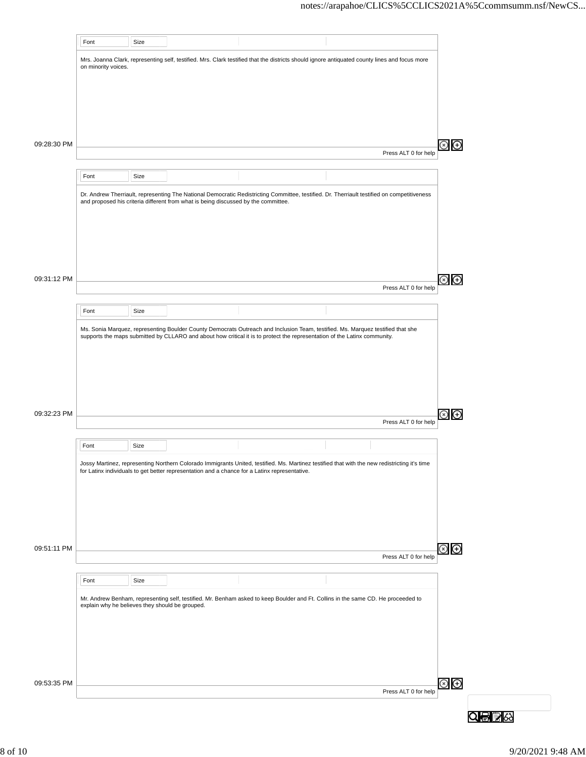|                            | Font                                            | Size |                                                                                    |                                                                                                                                                                                                                                                |                      |                               |
|----------------------------|-------------------------------------------------|------|------------------------------------------------------------------------------------|------------------------------------------------------------------------------------------------------------------------------------------------------------------------------------------------------------------------------------------------|----------------------|-------------------------------|
|                            | on minority voices.                             |      |                                                                                    | Mrs. Joanna Clark, representing self, testified. Mrs. Clark testified that the districts should ignore antiquated county lines and focus more                                                                                                  |                      |                               |
|                            |                                                 |      |                                                                                    |                                                                                                                                                                                                                                                |                      |                               |
|                            |                                                 |      |                                                                                    |                                                                                                                                                                                                                                                |                      |                               |
| 09:28:30 PM                |                                                 |      |                                                                                    |                                                                                                                                                                                                                                                |                      | $\circledcirc$                |
|                            |                                                 |      |                                                                                    |                                                                                                                                                                                                                                                | Press ALT 0 for help |                               |
|                            | Font                                            | Size |                                                                                    |                                                                                                                                                                                                                                                |                      |                               |
| 09:51:11 PM<br>09:53:35 PM |                                                 |      | and proposed his criteria different from what is being discussed by the committee. | Dr. Andrew Therriault, representing The National Democratic Redistricting Committee, testified. Dr. Therriault testified on competitiveness                                                                                                    |                      |                               |
|                            |                                                 |      |                                                                                    |                                                                                                                                                                                                                                                |                      |                               |
|                            |                                                 |      |                                                                                    |                                                                                                                                                                                                                                                |                      |                               |
| 09:31:12 PM                |                                                 |      |                                                                                    |                                                                                                                                                                                                                                                | Press ALT 0 for help | $\circledcirc$ $\circledcirc$ |
|                            | Font                                            | Size |                                                                                    |                                                                                                                                                                                                                                                |                      |                               |
|                            |                                                 |      |                                                                                    | Ms. Sonia Marquez, representing Boulder County Democrats Outreach and Inclusion Team, testified. Ms. Marquez testified that she                                                                                                                |                      |                               |
|                            |                                                 |      |                                                                                    | supports the maps submitted by CLLARO and about how critical it is to protect the representation of the Latinx community.                                                                                                                      |                      |                               |
|                            |                                                 |      |                                                                                    |                                                                                                                                                                                                                                                |                      |                               |
|                            |                                                 |      |                                                                                    |                                                                                                                                                                                                                                                |                      |                               |
| 09:32:23 PM                |                                                 |      |                                                                                    |                                                                                                                                                                                                                                                |                      | ⊗<br>⊕                        |
|                            |                                                 |      |                                                                                    |                                                                                                                                                                                                                                                | Press ALT 0 for help |                               |
|                            | Font                                            | Size |                                                                                    |                                                                                                                                                                                                                                                |                      |                               |
|                            |                                                 |      |                                                                                    | Jossy Martinez, representing Northern Colorado Immigrants United, testified. Ms. Martinez testified that with the new redistricting it's time<br>for Latinx individuals to get better representation and a chance for a Latinx representative. |                      |                               |
|                            |                                                 |      |                                                                                    |                                                                                                                                                                                                                                                |                      |                               |
|                            |                                                 |      |                                                                                    |                                                                                                                                                                                                                                                |                      |                               |
|                            |                                                 |      |                                                                                    |                                                                                                                                                                                                                                                |                      |                               |
|                            |                                                 |      |                                                                                    |                                                                                                                                                                                                                                                | Press ALT 0 for help | $\circledcirc$                |
|                            | Font                                            | Size |                                                                                    |                                                                                                                                                                                                                                                |                      |                               |
|                            | explain why he believes they should be grouped. |      |                                                                                    | Mr. Andrew Benham, representing self, testified. Mr. Benham asked to keep Boulder and Ft. Collins in the same CD. He proceeded to                                                                                                              |                      |                               |
|                            |                                                 |      |                                                                                    |                                                                                                                                                                                                                                                |                      |                               |
|                            |                                                 |      |                                                                                    |                                                                                                                                                                                                                                                |                      |                               |
|                            |                                                 |      |                                                                                    |                                                                                                                                                                                                                                                |                      |                               |
|                            |                                                 |      |                                                                                    |                                                                                                                                                                                                                                                | Press ALT 0 for help | $\circledcirc$                |
|                            |                                                 |      |                                                                                    |                                                                                                                                                                                                                                                |                      |                               |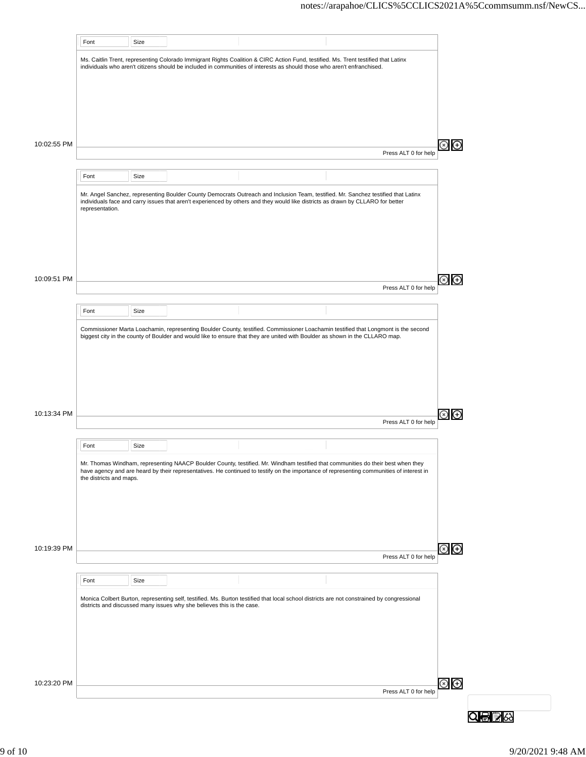|             | Font                    | Size |                                                                        |                                                                                                                                                                                                                                                                    |  |                      |  |
|-------------|-------------------------|------|------------------------------------------------------------------------|--------------------------------------------------------------------------------------------------------------------------------------------------------------------------------------------------------------------------------------------------------------------|--|----------------------|--|
|             |                         |      |                                                                        | Ms. Caitlin Trent, representing Colorado Immigrant Rights Coalition & CIRC Action Fund, testified. Ms. Trent testified that Latinx<br>individuals who aren't citizens should be included in communities of interests as should those who aren't enfranchised.      |  |                      |  |
|             |                         |      |                                                                        |                                                                                                                                                                                                                                                                    |  |                      |  |
|             |                         |      |                                                                        |                                                                                                                                                                                                                                                                    |  |                      |  |
|             |                         |      |                                                                        |                                                                                                                                                                                                                                                                    |  |                      |  |
| 10:02:55 PM |                         |      |                                                                        |                                                                                                                                                                                                                                                                    |  | Press ALT 0 for help |  |
|             | Font                    | Size |                                                                        |                                                                                                                                                                                                                                                                    |  |                      |  |
|             |                         |      |                                                                        | Mr. Angel Sanchez, representing Boulder County Democrats Outreach and Inclusion Team, testified. Mr. Sanchez testified that Latinx                                                                                                                                 |  |                      |  |
|             | representation.         |      |                                                                        | individuals face and carry issues that aren't experienced by others and they would like districts as drawn by CLLARO for better                                                                                                                                    |  |                      |  |
|             |                         |      |                                                                        |                                                                                                                                                                                                                                                                    |  |                      |  |
|             |                         |      |                                                                        |                                                                                                                                                                                                                                                                    |  |                      |  |
|             |                         |      |                                                                        |                                                                                                                                                                                                                                                                    |  |                      |  |
| 10:09:51 PM |                         |      |                                                                        |                                                                                                                                                                                                                                                                    |  |                      |  |
|             |                         |      |                                                                        |                                                                                                                                                                                                                                                                    |  | Press ALT 0 for help |  |
|             | Font                    | Size |                                                                        |                                                                                                                                                                                                                                                                    |  |                      |  |
|             |                         |      |                                                                        | Commissioner Marta Loachamin, representing Boulder County, testified. Commissioner Loachamin testified that Longmont is the second<br>biggest city in the county of Boulder and would like to ensure that they are united with Boulder as shown in the CLLARO map. |  |                      |  |
|             |                         |      |                                                                        |                                                                                                                                                                                                                                                                    |  |                      |  |
|             |                         |      |                                                                        |                                                                                                                                                                                                                                                                    |  |                      |  |
|             |                         |      |                                                                        |                                                                                                                                                                                                                                                                    |  |                      |  |
| 10:13:34 PM |                         |      |                                                                        |                                                                                                                                                                                                                                                                    |  |                      |  |
|             |                         |      |                                                                        |                                                                                                                                                                                                                                                                    |  | Press ALT 0 for help |  |
|             | Font                    | Size |                                                                        |                                                                                                                                                                                                                                                                    |  |                      |  |
|             |                         |      |                                                                        | Mr. Thomas Windham, representing NAACP Boulder County, testified. Mr. Windham testified that communities do their best when they<br>have agency and are heard by their representatives. He continued to testify on the importance                                  |  |                      |  |
|             | the districts and maps. |      |                                                                        |                                                                                                                                                                                                                                                                    |  |                      |  |
|             |                         |      |                                                                        |                                                                                                                                                                                                                                                                    |  |                      |  |
|             |                         |      |                                                                        |                                                                                                                                                                                                                                                                    |  |                      |  |
|             |                         |      |                                                                        |                                                                                                                                                                                                                                                                    |  |                      |  |
| 10:19:39 PM |                         |      |                                                                        |                                                                                                                                                                                                                                                                    |  | Press ALT 0 for help |  |
|             | Font                    | Size |                                                                        |                                                                                                                                                                                                                                                                    |  |                      |  |
|             |                         |      |                                                                        | Monica Colbert Burton, representing self, testified. Ms. Burton testified that local school districts are not constrained by congressional                                                                                                                         |  |                      |  |
|             |                         |      | districts and discussed many issues why she believes this is the case. |                                                                                                                                                                                                                                                                    |  |                      |  |
|             |                         |      |                                                                        |                                                                                                                                                                                                                                                                    |  |                      |  |
|             |                         |      |                                                                        |                                                                                                                                                                                                                                                                    |  |                      |  |
|             |                         |      |                                                                        |                                                                                                                                                                                                                                                                    |  |                      |  |
| 10:23:20 PM |                         |      |                                                                        |                                                                                                                                                                                                                                                                    |  | Press ALT 0 for help |  |
|             |                         |      |                                                                        |                                                                                                                                                                                                                                                                    |  |                      |  |
|             |                         |      |                                                                        |                                                                                                                                                                                                                                                                    |  |                      |  |